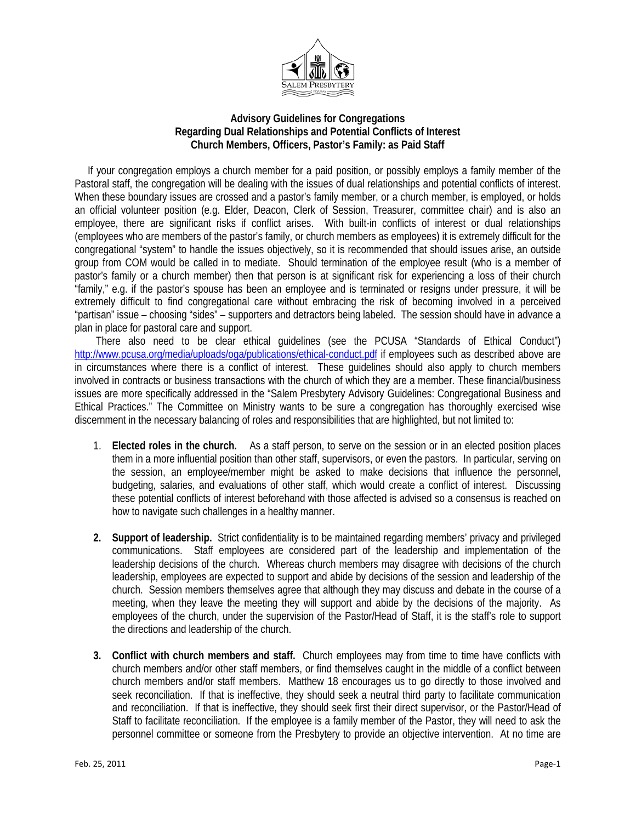

## **Advisory Guidelines for Congregations Regarding Dual Relationships and Potential Conflicts of Interest Church Members, Officers, Pastor's Family: as Paid Staff**

 If your congregation employs a church member for a paid position, or possibly employs a family member of the Pastoral staff, the congregation will be dealing with the issues of dual relationships and potential conflicts of interest. When these boundary issues are crossed and a pastor's family member, or a church member, is employed, or holds an official volunteer position (e.g. Elder, Deacon, Clerk of Session, Treasurer, committee chair) and is also an employee, there are significant risks if conflict arises. With built-in conflicts of interest or dual relationships (employees who are members of the pastor's family, or church members as employees) it is extremely difficult for the congregational "system" to handle the issues objectively, so it is recommended that should issues arise, an outside group from COM would be called in to mediate. Should termination of the employee result (who is a member of pastor's family or a church member) then that person is at significant risk for experiencing a loss of their church "family," e.g. if the pastor's spouse has been an employee and is terminated or resigns under pressure, it will be extremely difficult to find congregational care without embracing the risk of becoming involved in a perceived "partisan" issue – choosing "sides" – supporters and detractors being labeled. The session should have in advance a plan in place for pastoral care and support.

There also need to be clear ethical guidelines (see the PCUSA "Standards of Ethical Conduct") <http://www.pcusa.org/media/uploads/oga/publications/ethical-conduct.pdf> if employees such as described above are in circumstances where there is a conflict of interest. These guidelines should also apply to church members involved in contracts or business transactions with the church of which they are a member. These financial/business issues are more specifically addressed in the "Salem Presbytery Advisory Guidelines: Congregational Business and Ethical Practices." The Committee on Ministry wants to be sure a congregation has thoroughly exercised wise discernment in the necessary balancing of roles and responsibilities that are highlighted, but not limited to:

- 1. **Elected roles in the church.** As a staff person, to serve on the session or in an elected position places them in a more influential position than other staff, supervisors, or even the pastors. In particular, serving on the session, an employee/member might be asked to make decisions that influence the personnel, budgeting, salaries, and evaluations of other staff, which would create a conflict of interest. Discussing these potential conflicts of interest beforehand with those affected is advised so a consensus is reached on how to navigate such challenges in a healthy manner.
- **2. Support of leadership.** Strict confidentiality is to be maintained regarding members' privacy and privileged communications. Staff employees are considered part of the leadership and implementation of the leadership decisions of the church. Whereas church members may disagree with decisions of the church leadership, employees are expected to support and abide by decisions of the session and leadership of the church. Session members themselves agree that although they may discuss and debate in the course of a meeting, when they leave the meeting they will support and abide by the decisions of the majority. As employees of the church, under the supervision of the Pastor/Head of Staff, it is the staff's role to support the directions and leadership of the church.
- **3. Conflict with church members and staff.** Church employees may from time to time have conflicts with church members and/or other staff members, or find themselves caught in the middle of a conflict between church members and/or staff members. Matthew 18 encourages us to go directly to those involved and seek reconciliation. If that is ineffective, they should seek a neutral third party to facilitate communication and reconciliation. If that is ineffective, they should seek first their direct supervisor, or the Pastor/Head of Staff to facilitate reconciliation. If the employee is a family member of the Pastor, they will need to ask the personnel committee or someone from the Presbytery to provide an objective intervention. At no time are